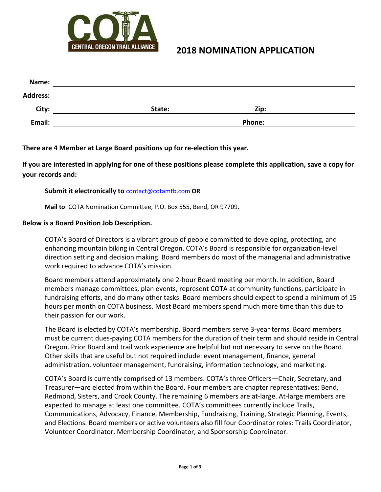

### **2018 NOMINATION APPLICATION**

| State: | Zip:          |  |
|--------|---------------|--|
|        | <b>Phone:</b> |  |
|        |               |  |

**There are 4 Member at Large Board positions up for re-election this year.**

**If you are interested in applying for one of these positions please complete this application, save a copy for your records and:**

#### **Submit it electronically to** [contact@cotamtb.com](mailto:contact@cotamtb.com) **OR**

**Mail to**: COTA Nomination Committee, P.O. Box 555, Bend, OR 97709.

#### **Below is a Board Position Job Description.**

COTA's Board of Directors is a vibrant group of people committed to developing, protecting, and enhancing mountain biking in Central Oregon. COTA's Board is responsible for organization-level direction setting and decision making. Board members do most of the managerial and administrative work required to advance COTA's mission.

Board members attend approximately one 2-hour Board meeting per month. In addition, Board members manage committees, plan events, represent COTA at community functions, participate in fundraising efforts, and do many other tasks. Board members should expect to spend a minimum of 15 hours per month on COTA business. Most Board members spend much more time than this due to their passion for our work.

The Board is elected by COTA's membership. Board members serve 3-year terms. Board members must be current dues-paying COTA members for the duration of their term and should reside in Central Oregon. Prior Board and trail work experience are helpful but not necessary to serve on the Board. Other skills that are useful but not required include: event management, finance, general administration, volunteer management, fundraising, information technology, and marketing.

COTA's Board is currently comprised of 13 members. COTA's three Officers—Chair, Secretary, and Treasurer—are elected from within the Board. Four members are chapter representatives: Bend, Redmond, Sisters, and Crook County. The remaining 6 members are at-large. At-large members are expected to manage at least one committee. COTA's committees currently include Trails, Communications, Advocacy, Finance, Membership, Fundraising, Training, Strategic Planning, Events, and Elections. Board members or active volunteers also fill four Coordinator roles: Trails Coordinator, Volunteer Coordinator, Membership Coordinator, and Sponsorship Coordinator.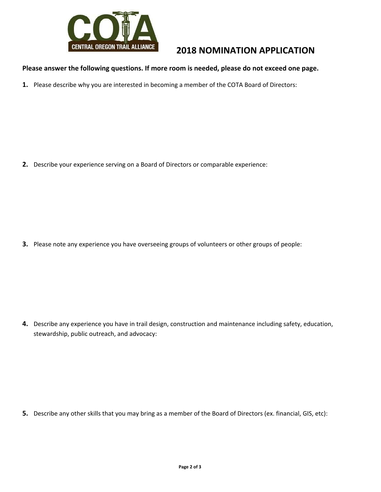

# **2018 NOMINATION APPLICATION**

### **Please answer the following questions. If more room is needed, please do not exceed one page.**

**1.** Please describe why you are interested in becoming a member of the COTA Board of Directors:

**2.** Describe your experience serving on a Board of Directors or comparable experience:

**3.** Please note any experience you have overseeing groups of volunteers or other groups of people:

**4.** Describe any experience you have in trail design, construction and maintenance including safety, education, stewardship, public outreach, and advocacy:

**5.** Describe any other skills that you may bring as a member of the Board of Directors (ex. financial, GIS, etc):